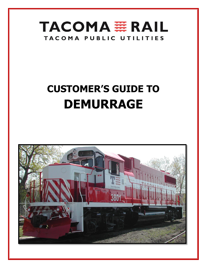

# **CUSTOMER'S GUIDE TO DEMURRAGE**

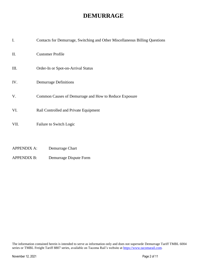### **DEMURRAGE**

| I.   | Contacts for Demurrage, Switching and Other Miscellaneous Billing Questions |
|------|-----------------------------------------------------------------------------|
| II.  | <b>Customer Profile</b>                                                     |
| III. | Order-In or Spot-on-Arrival Status                                          |
| IV.  | <b>Demurrage Definitions</b>                                                |
| V.   | Common Causes of Demurrage and How to Reduce Exposure                       |
| VI.  | Rail Controlled and Private Equipment                                       |
| VII. | Failure to Switch Logic                                                     |
|      |                                                                             |

- APPENDIX A: Demurrage Chart
- APPENDIX B: Demurrage Dispute Form

The information contained herein is intended to serve as information only and does not supersede Demurrage Tariff TMBL 6004 series or TMBL Freight Tariff 8807 series, available on Tacoma Rail's website at [https://www.tacomarail.com](https://www.tacomarail.com/).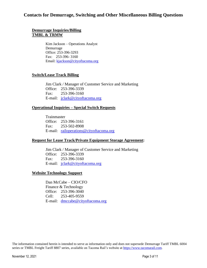### **Contacts for Demurrage, Switching and Other Miscellaneous Billing Questions**

#### **Demurrage Inquiries/Billing TMBL & TRMW**

Kim Jackson – Operations Analyst Demurrage Office: 253-396-3293 Fax: 253-396- 3160 Email: [kjackson@cityoftacoma.org](file:///C:/Users/dmccabe/AppData/Local/Microsoft/Windows/INetCache/Content.Outlook/KJNB0Q7O/kjackson@cityoftacoma.org)

#### **Switch/Lease Track Billing**

Jim Clark / Manager of Customer Service and Marketing Office: 253-396-3339 Fax: 253-396-3160 E-mail: [jclark@cityoftacoma.org](mailto:jclark@cityoftacoma.org)

#### **Operational Inquiries – Special Switch Requests**

Trainmaster Office: 253-396-3161 Fax: 253-502-8908 E-mail: [railoperations@cityoftacoma.org](mailto:railoperations@cityoftacoma.org)

#### **Request for Lease Track/Private Equipment Storage Agreement:**

Jim Clark / Manager of Customer Service and Marketing Office: 253-396-3339 Fax: 253-396-3160 E-mail: [jclark@cityoftacoma.org](mailto:jclark@cityoftacoma.org)

#### **Website Technology Support**

Dan McCabe – CIO/CFO Finance & Technology Office: 253-396-3040 Cell: 253-405-9559 E-mail: [dmccabe@cityoftacoma.org](mailto:dmccabe@cityoftacoma.org)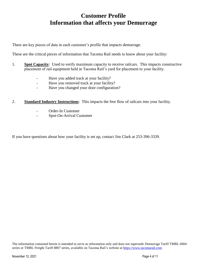## **Customer Profile Information that affects your Demurrage**

There are key pieces of data in each customer's profile that impacts demurrage.

These are the critical pieces of information that Tacoma Rail needs to know about your facility:

- 1. **Spot Capacity**: Used to verify maximum capacity to receive railcars. This impacts constructive placement of rail equipment held in Tacoma Rail's yard for placement to your facility.
	- Have you added track at your facility?
	- Have you removed track at your facility?
	- Have you changed your door configuration?
- 2. **Standard Industry Instructions**: This impacts the free flow of railcars into your facility.
	- Order-In Customer
	- Spot-On-Arrival Customer

If you have questions about how your facility is set up, contact Jim Clark at 253-396-3339.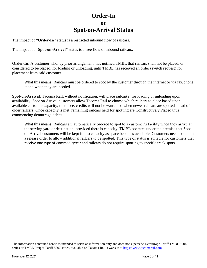### **Order-In or Spot-on-Arrival Status**

The impact of **"Order-In"** status is a restricted inbound flow of railcars.

The impact of **"Spot-on-Arrival"** status is a free flow of inbound railcars.

**Order-In:** A customer who, by prior arrangement, has notified TMBL that railcars shall not be placed, or considered to be placed, for loading or unloading, until TMBL has received an order (switch request) for placement from said customer.

What this means: Railcars must be ordered to spot by the customer through the internet or via fax/phone if and when they are needed.

**Spot-on-Arrival**: Tacoma Rail, without notification, will place railcar(s) for loading or unloading upon availability. Spot on Arrival customers allow Tacoma Rail to choose which railcars to place based upon available customer capacity; therefore, credits will not be warranted when newer railcars are spotted ahead of older railcars. Once capacity is met, remaining railcars held for spotting are Constructively Placed thus commencing demurrage debits.

What this means: Railcars are automatically ordered to spot to a customer's facility when they arrive at the serving yard or destination, provided there is capacity. TMBL operates under the premise that Spoton-Arrival customers will be kept full to capacity as space becomes available. Customers need to submit a release order to allow additional railcars to be spotted. This type of status is suitable for customers that receive one type of commodity/car and railcars do not require spotting to specific track spots.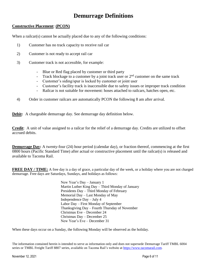## **Demurrage Definitions**

#### **Constructive Placement**: **(PCON)**

When a railcar(s) cannot be actually placed due to any of the following conditions:

- 1) Customer has no track capacity to receive rail car
- 2) Customer is not ready to accept rail car
- 3) Customer track is not accessible, for example:
	- Blue or Red flag placed by customer or third party
	- Track blockage to a customer by a joint track user or  $2<sup>nd</sup>$  customer on the same track
	- Customer's siding/spur is locked by customer or joint user
	- Customer's facility track is inaccessible due to safety issues or improper track condition
	- Railcar is not suitable for movement: hoses attached to railcars, hatches open, etc.
- 4) Order in customer railcars are automatically PCON the following 8 am after arrival.

**Debit:** A chargeable demurrage day. See demurrage day definition below.

**Credit**: A unit of value assigned to a railcar for the relief of a demurrage day. Credits are utilized to offset accrued debits.

**Demurrage Day:** A twenty-four (24) hour period (calendar day), or fraction thereof, commencing at the first 0800 hours (Pacific Standard Time) after actual or constructive placement until the railcar(s) is released and available to Tacoma Rail.

**FREE DAY / TIME:** A free day is a day of grace, a particular day of the week, or a holiday where you are not charged demurrage. Free days are Saturdays, Sundays, and holidays as follows:

> New Year's Day – January 1 Martin Luther King Day – Third Monday of January Presidents Day – Third Monday of February Memorial Day – Last Monday of May Independence Day – July 4 Labor Day – First Monday of September Thanksgiving Day – Fourth Thursday of November Christmas Eve – December 24 Christmas Day – December 25 New Year's Eve – December 31

When these days occur on a Sunday, the following Monday will be observed as the holiday.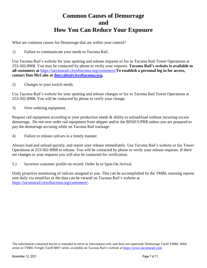## **Common Causes of Demurrage and How You Can Reduce Your Exposure**

What are common causes for Demurrage that are within your control?

1) Failure to communicate your needs to Tacoma Rail.

Use Tacoma Rail's website for your spotting and release requests or fax to Tacoma Rail Tower Operations at 253-502-8908. You may be contacted by phone to verify your requests. **Tacoma Rail's website is available to all customers at** <https://tacomarail.cityoftacoma.org/customers/>**To establish a personal log in for access, contact Dan McCabe at [dmccabe@cityoftacoma.org.](mailto:dmccabe@cityoftacoma.org)**

2) Changes to your switch needs.

Use Tacoma Rail's website for your spotting and release changes or fax to Tacoma Rail Tower Operations at 253-502-8908. You will be contacted by phone to verify your change.

3) Over ordering equipment.

Request rail equipment according to your production needs & ability to unload/load without incurring excess demurrage. Do not over order rail equipment from shipper and/or the BNSF/UPRR unless you are prepared to pay the demurrage accruing while on Tacoma Rail trackage.

4) Failure to release railcars in a timely manner.

Always load and unload quickly, and report your release immediately. Use Tacoma Rail's website or fax Tower Operations at 253-502-8908 to release. You will be contacted by phone to verify your release requests. If there are changes to your requests you will also be contacted for verification.

5.) Incorrect customer profile on record: Order In or Spot-On-Arrival.

Daily proactive monitoring of railcars assigned to you. This can be accomplished by the TMBL morning reports sent daily via email/fax or the data can be viewed on Tacoma Rail's website at [https://tacomarail.cityoftacoma.org/customers/.](https://tacomarail.cityoftacoma.org/customers/)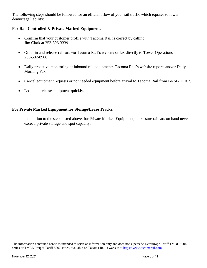The following steps should be followed for an efficient flow of your rail traffic which equates to lower demurrage liability:

### **For Rail Controlled & Private Marked Equipment**:

- Confirm that your customer profile with Tacoma Rail is correct by calling Jim Clark at 253-396-3339.
- Order in and release railcars via Tacoma Rail's website or fax directly to Tower Operations at 253-502-8908.
- Daily proactive monitoring of inbound rail equipment: Tacoma Rail's website reports and/or Daily Morning Fax.
- Cancel equipment requests or not needed equipment before arrival to Tacoma Rail from BNSF/UPRR.
- Load and release equipment quickly.

### **For Private Marked Equipment for Storage/Lease Tracks**:

In addition to the steps listed above, for Private Marked Equipment, make sure railcars on hand never exceed private storage and spot capacity.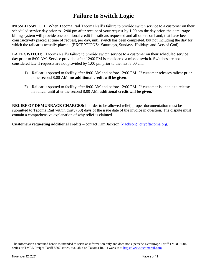# **Failure to Switch Logic**

**MISSED SWITCH**: When Tacoma Rail Tacoma Rail's failure to provide switch service to a customer on their scheduled service day prior to 12:00 pm after receipt of your request by 1:00 pm the day prior, the demurrage billing system will provide one additional credit for railcars requested and all others on hand, that have been constructively placed at time of request, per day, until switch has been completed, but not including the day for which the railcar is actually placed. (EXCEPTIONS: Saturdays, Sundays, Holidays and Acts of God).

**LATE SWITCH**: Tacoma Rail's failure to provide switch service to a customer on their scheduled service day prior to 8:00 AM. Service provided after 12:00 PM is considered a missed switch. Switches are not considered late if requests are not provided by 1:00 pm prior to the next 8:00 am.

- 1) Railcar is spotted to facility after 8:00 AM and before 12:00 PM. If customer releases railcar prior to the second 8:00 AM, **no additional credit will be given**.
- 2) Railcar is spotted to facility after 8:00 AM and before 12:00 PM. If customer is unable to release the railcar until after the second 8:00 AM, **additional credit will be given.**

**RELIEF OF DEMURRAGE CHARGES:** In order to be allowed relief, proper documentation must be submitted to Tacoma Rail within thirty (30) days of the issue date of the invoice in question. The dispute must contain a comprehensive explanation of why relief is claimed.

**Customers requesting additional credits** – contact Kim Jackson, [kjackson@cityoftacoma.org.](mailto:kjackson@cityoftacoma.org)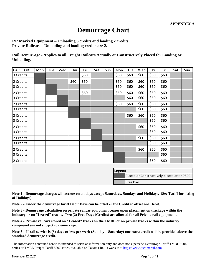## **Demurrage Chart**

**RR Marked Equipment – Unloading 3 credits and loading 2 credits. Private Railcars – Unloading and loading credits are 2.**

**Rail Demurrage - Applies to all Freight Railcars Actually or Constructively Placed for Loading or Unloading.**

| <b>CARS FOR</b> | Mon | Tue | Wed | Thu  | Fri  | Sat | Sun | Mon  | Tue  | Wed  | Thu  | Fri  | Sat | Sun |
|-----------------|-----|-----|-----|------|------|-----|-----|------|------|------|------|------|-----|-----|
| 3 Credits       |     |     |     |      | \$60 |     |     | \$60 | \$60 | \$60 | \$60 | \$60 |     |     |
| 2 Credits       |     |     |     | \$60 | \$60 |     |     | \$60 | \$60 | \$60 | \$60 | \$60 |     |     |
| 3 Credits       |     |     |     |      |      |     |     | \$60 | \$60 | \$60 | \$60 | \$60 |     |     |
| 2 Credits       |     |     |     |      | \$60 |     |     | \$60 | \$60 | \$60 | \$60 | \$60 |     |     |
| 3 Credits       |     |     |     |      |      |     |     |      | \$60 | \$60 | \$60 | \$60 |     |     |
| 2 Credits       |     |     |     |      |      |     |     | \$60 | \$60 | \$60 | \$60 | \$60 |     |     |
| 3 Credits       |     |     |     |      |      |     |     |      |      | \$60 | \$60 | \$60 |     |     |
| 2 Credits       |     |     |     |      |      |     |     |      | \$60 | \$60 | \$60 | \$60 |     |     |
| 3 Credits       |     |     |     |      |      |     |     |      |      |      | \$60 | \$60 |     |     |
| 2 Credits       |     |     |     |      |      |     |     |      |      | \$60 | \$60 | \$60 |     |     |
| 3 Credits       |     |     |     |      |      |     |     |      |      |      | \$60 | \$60 |     |     |
| 2 Credits       |     |     |     |      |      |     |     |      |      | \$60 | \$60 | \$60 |     |     |
| 3 Credits       |     |     |     |      |      |     |     |      |      |      | \$60 | \$60 |     |     |
| 2 Credits       |     |     |     |      |      |     |     |      |      | \$60 | \$60 | \$60 |     |     |
| 3 Credits       |     |     |     |      |      |     |     |      |      |      |      | \$60 |     |     |
| 2 Credits       |     |     |     |      |      |     |     |      |      |      | \$60 | \$60 |     |     |

| Legend |                                            |  |  |  |  |  |  |
|--------|--------------------------------------------|--|--|--|--|--|--|
|        | Placed or Constructively placed after 0800 |  |  |  |  |  |  |
|        | Free Day                                   |  |  |  |  |  |  |

**Note 1 - Demurrage charges will accrue on all days except Saturdays, Sundays and Holidays. (See Tariff for listing of Holidays)**

**Note 2 - Under the demurrage tariff Debit Days can be offset - One Credit to offset one Debit.**

**Note 3 - Demurrage calculation on private railcar equipment ceases upon placement on trackage within the industry or on "Leased" tracks. Two (2) Free Days (Credits) are allowed for all Private rail equipment.**

**Note 4 - Private railcars stored on "Leased" tracks on the TMBL or on private tracks within the industry compound are not subject to demurrage.**

**Note 5 – If rail service is (3) days or less per week (Sunday – Saturday) one extra credit will be provided above the standard demurrage credit.**